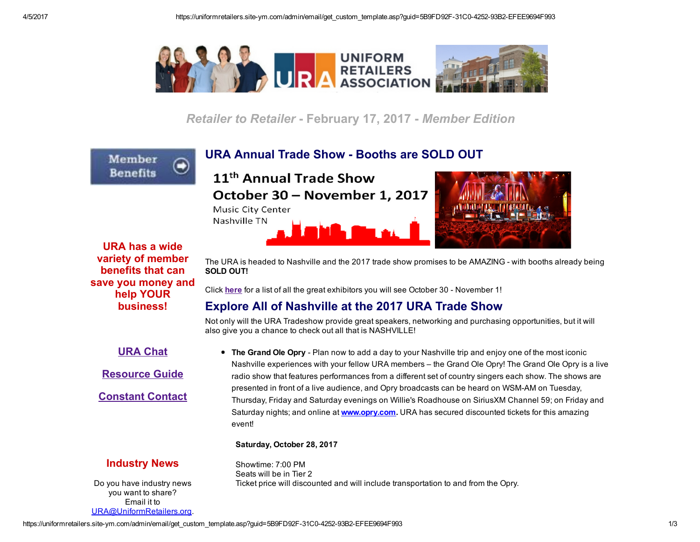

Retailer to Retailer - February 17, 2017 - Member Edition

URA Annual Trade Show - Booths are SOLD OUT

11<sup>th</sup> Annual Trade Show

October 30 - November 1, 2017 Music City Center

Nashville TN





URA has a wide variety of member benefits that can save you money and help YOUR business!

Member **Benefits** 

> The URA is headed to Nashville and the 2017 trade show promises to be AMAZING - with booths already being SOLD OUT!

Click [here](http://www.uniformretailers.org/?page=ExhibitList2017) for a list of all the great exhibitors you will see October 30 - November 1!

## Explore All of Nashville at the 2017 URA Trade Show

Not only will the URA Tradeshow provide great speakers, networking and purchasing opportunities, but it will also give you a chance to check out all that is NASHVILLE!

URA [Chat](http://www.uniformretailers.org/Login.aspx)

[Resource](http://www.uniformretailers.org/?Resources) Guide

[Constant](http://www.uniformretailers.org/Login.aspx) Contact

• The Grand Ole Opry - Plan now to add a day to your Nashville trip and enjoy one of the most iconic Nashville experiences with your fellow URA members – the Grand Ole Opry! The Grand Ole Opry is a live radio show that features performances from a different set of country singers each show. The shows are presented in front of a live audience, and Opry broadcasts can be heard on WSMAM on Tuesday, Thursday, Friday and Saturday evenings on Willie's Roadhouse on SiriusXM Channel 59; on Friday and Saturday nights; and online at [www.opry.com](http://www.uniformretailers.org/link.asp?e=jclegg@offinger.com&job=2713431&ymlink=65029530&finalurl=http%3A%2F%2Fwww%2Eopry%2Ecom). URA has secured discounted tickets for this amazing event!

## Saturday, October 28, 2017

## Industry News

Do you have industry news you want to share? Email it to [URA@UniformRetailers.org](mailto:URA@UniformRetailers.org?subject=URA%20Industry%20News).

Showtime: 7:00 PM Seats will be in Tier 2 Ticket price will discounted and will include transportation to and from the Opry.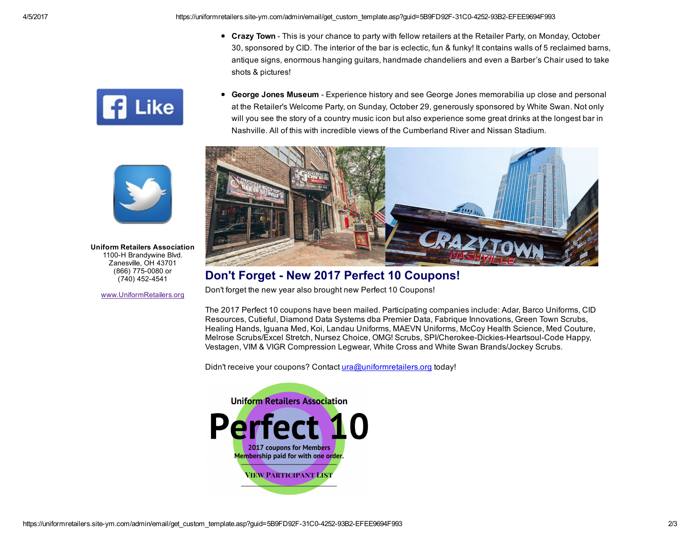4/5/2017 https://uniformretailers.site-ym.com/admin/email/get\_custom\_template.asp?guid=5B9FD92F-31C0-4252-93B2-EFEE9694F993

- Crazy Town This is your chance to party with fellow retailers at the Retailer Party, on Monday, October 30, sponsored by CID. The interior of the bar is eclectic, fun & funky! It contains walls of 5 reclaimed barns, antique signs, enormous hanging guitars, handmade chandeliers and even a Barber's Chair used to take shots & pictures!
- George Jones Museum Experience history and see George Jones memorabilia up close and personal at the Retailer's Welcome Party, on Sunday, October 29, generously sponsored by White Swan. Not only will you see the story of a country music icon but also experience some great drinks at the longest bar in Nashville. All of this with incredible views of the Cumberland River and Nissan Stadium.



## Don't Forget - New 2017 Perfect 10 Coupons!

Don't forget the new year also brought new Perfect 10 Coupons!

The 2017 Perfect 10 coupons have been mailed. Participating companies include: Adar, Barco Uniforms, CID Resources, Cutieful, Diamond Data Systems dba Premier Data, Fabrique Innovations, Green Town Scrubs, Healing Hands, Iguana Med, Koi, Landau Uniforms, MAEVN Uniforms, McCoy Health Science, Med Couture, Melrose Scrubs/Excel Stretch, Nursez Choice, OMG! Scrubs, SPI/Cherokee-Dickies-Heartsoul-Code Happy, Vestagen, VIM & VIGR Compression Legwear, White Cross and White Swan Brands/Jockey Scrubs.

Didn't receive your coupons? Contact [ura@uniformretailers.org](https://uniformretailers.site-ym.com/admin/email/ura@uniformretailers.org) today!







Uniform Retailers Association 1100-H Brandywine Blvd. Zanesville, OH 43701 (866) 775-0080 or (740) 452-4541

[www.UniformRetailers.org](http://www.uniformretailers.org/)